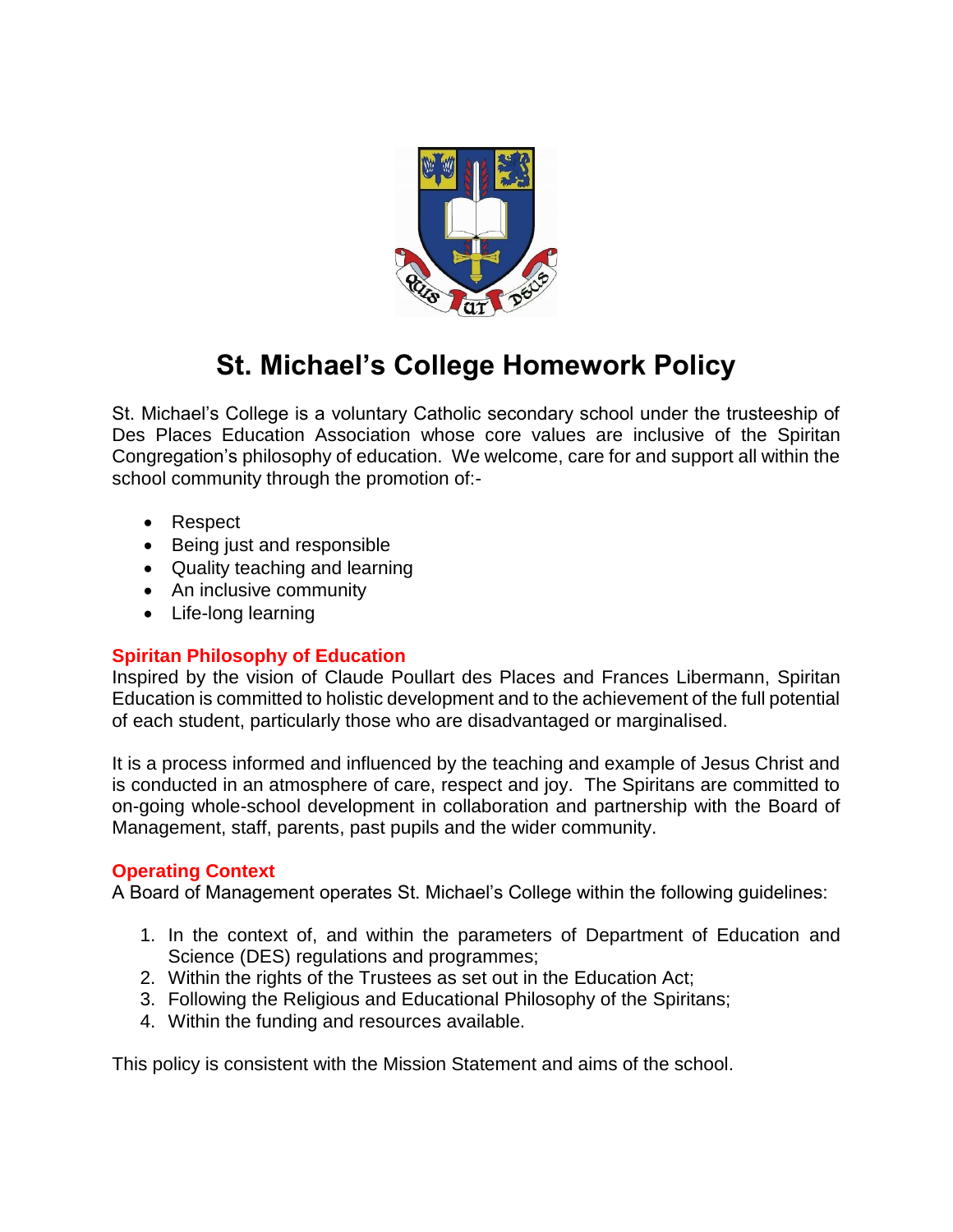

# **St. Michael's College Homework Policy**

St. Michael's College is a voluntary Catholic secondary school under the trusteeship of Des Places Education Association whose core values are inclusive of the Spiritan Congregation's philosophy of education. We welcome, care for and support all within the school community through the promotion of:-

- Respect
- Being just and responsible
- Quality teaching and learning
- An inclusive community
- Life-long learning

# **Spiritan Philosophy of Education**

Inspired by the vision of Claude Poullart des Places and Frances Libermann, Spiritan Education is committed to holistic development and to the achievement of the full potential of each student, particularly those who are disadvantaged or marginalised.

It is a process informed and influenced by the teaching and example of Jesus Christ and is conducted in an atmosphere of care, respect and joy. The Spiritans are committed to on-going whole-school development in collaboration and partnership with the Board of Management, staff, parents, past pupils and the wider community.

# **Operating Context**

A Board of Management operates St. Michael's College within the following guidelines:

- 1. In the context of, and within the parameters of Department of Education and Science (DES) regulations and programmes;
- 2. Within the rights of the Trustees as set out in the Education Act;
- 3. Following the Religious and Educational Philosophy of the Spiritans;
- 4. Within the funding and resources available.

This policy is consistent with the Mission Statement and aims of the school.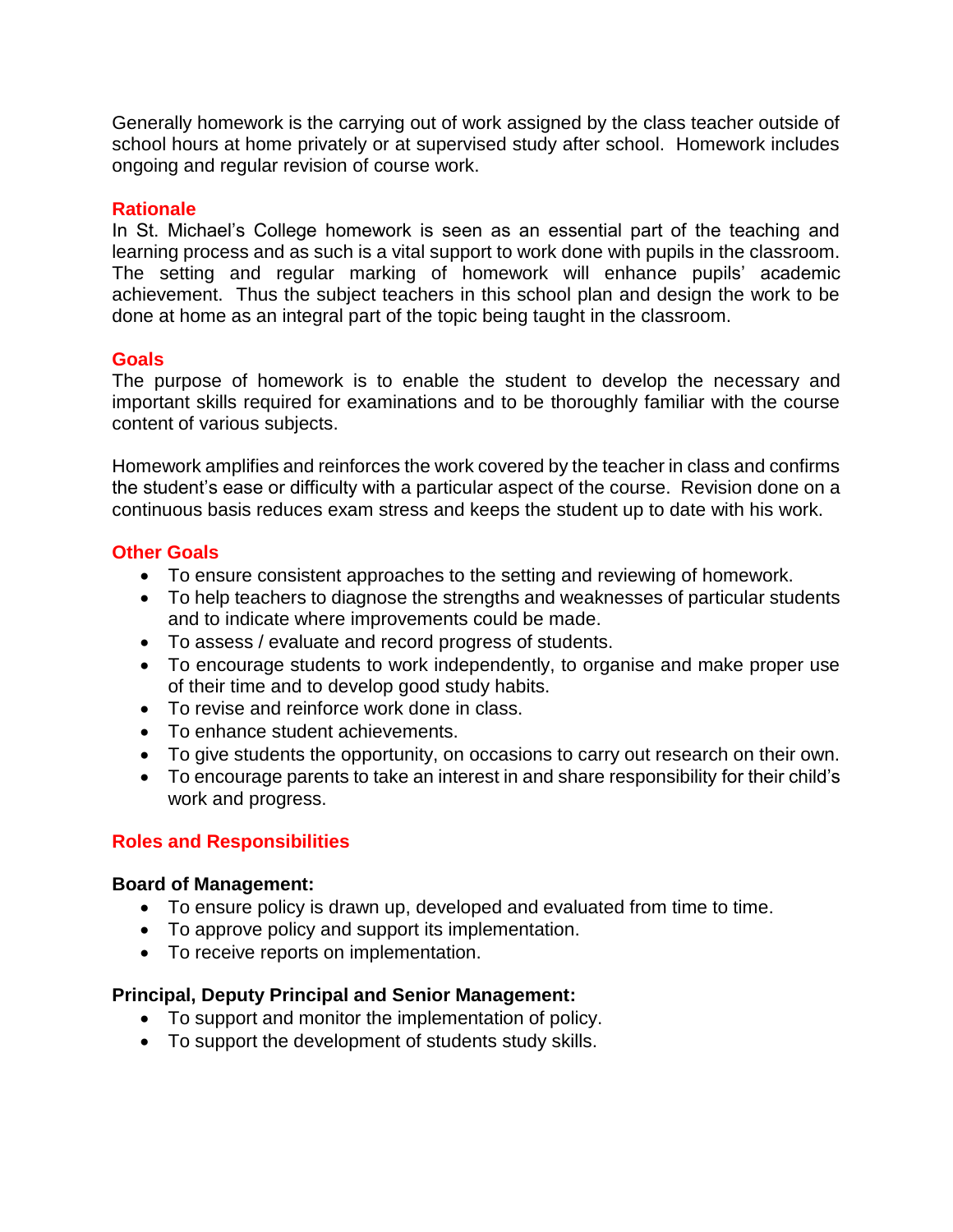Generally homework is the carrying out of work assigned by the class teacher outside of school hours at home privately or at supervised study after school. Homework includes ongoing and regular revision of course work.

### **Rationale**

In St. Michael's College homework is seen as an essential part of the teaching and learning process and as such is a vital support to work done with pupils in the classroom. The setting and regular marking of homework will enhance pupils' academic achievement. Thus the subject teachers in this school plan and design the work to be done at home as an integral part of the topic being taught in the classroom.

## **Goals**

The purpose of homework is to enable the student to develop the necessary and important skills required for examinations and to be thoroughly familiar with the course content of various subjects.

Homework amplifies and reinforces the work covered by the teacher in class and confirms the student's ease or difficulty with a particular aspect of the course. Revision done on a continuous basis reduces exam stress and keeps the student up to date with his work.

## **Other Goals**

- To ensure consistent approaches to the setting and reviewing of homework.
- To help teachers to diagnose the strengths and weaknesses of particular students and to indicate where improvements could be made.
- To assess / evaluate and record progress of students.
- To encourage students to work independently, to organise and make proper use of their time and to develop good study habits.
- To revise and reinforce work done in class.
- To enhance student achievements.
- To give students the opportunity, on occasions to carry out research on their own.
- To encourage parents to take an interest in and share responsibility for their child's work and progress.

# **Roles and Responsibilities**

#### **Board of Management:**

- To ensure policy is drawn up, developed and evaluated from time to time.
- To approve policy and support its implementation.
- To receive reports on implementation.

#### **Principal, Deputy Principal and Senior Management:**

- To support and monitor the implementation of policy.
- To support the development of students study skills.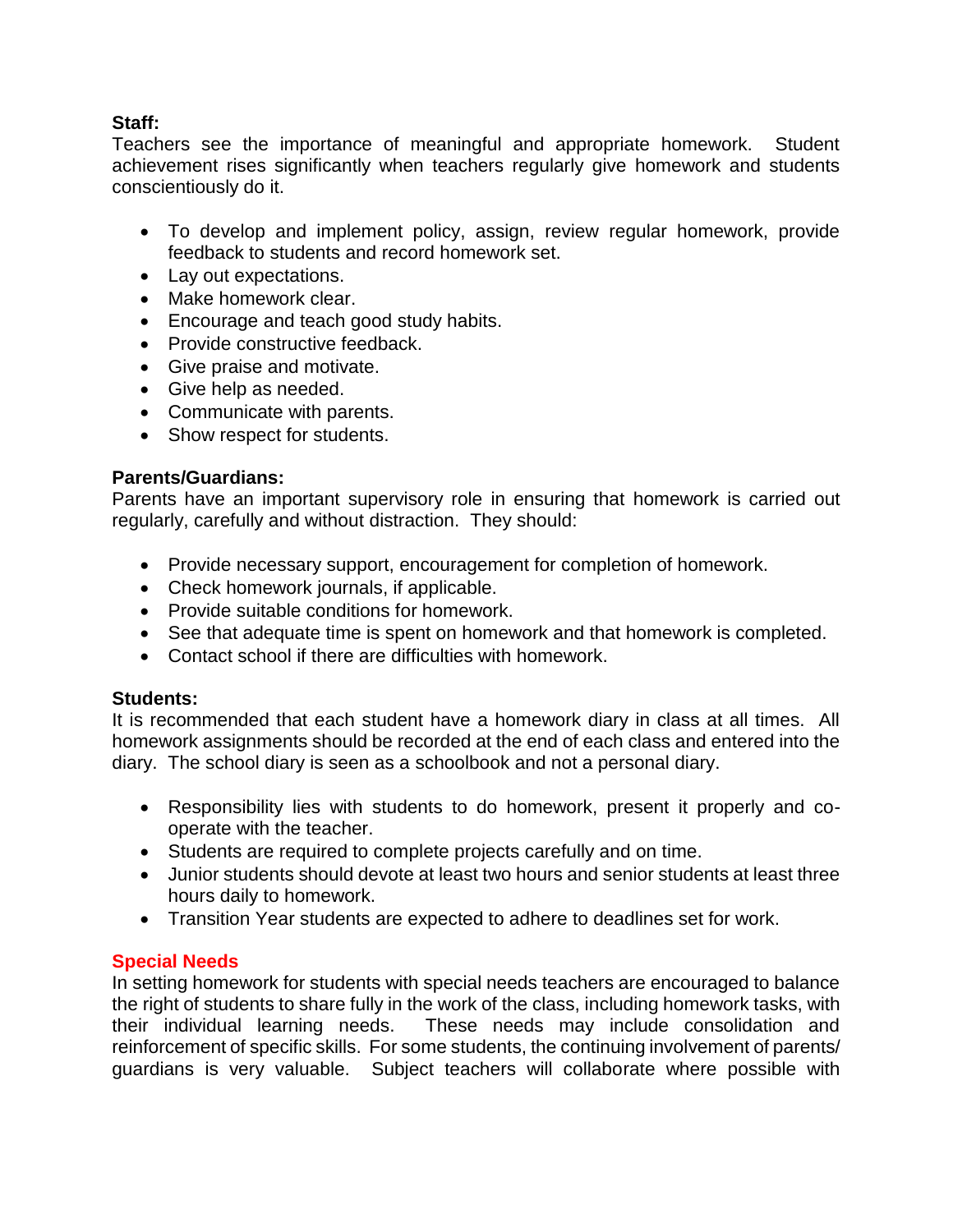## **Staff:**

Teachers see the importance of meaningful and appropriate homework. Student achievement rises significantly when teachers regularly give homework and students conscientiously do it.

- To develop and implement policy, assign, review regular homework, provide feedback to students and record homework set.
- Lay out expectations.
- Make homework clear.
- Encourage and teach good study habits.
- Provide constructive feedback.
- Give praise and motivate.
- Give help as needed.
- Communicate with parents.
- Show respect for students.

## **Parents/Guardians:**

Parents have an important supervisory role in ensuring that homework is carried out regularly, carefully and without distraction. They should:

- Provide necessary support, encouragement for completion of homework.
- Check homework journals, if applicable.
- Provide suitable conditions for homework.
- See that adequate time is spent on homework and that homework is completed.
- Contact school if there are difficulties with homework.

#### **Students:**

It is recommended that each student have a homework diary in class at all times. All homework assignments should be recorded at the end of each class and entered into the diary. The school diary is seen as a schoolbook and not a personal diary.

- Responsibility lies with students to do homework, present it properly and cooperate with the teacher.
- Students are required to complete projects carefully and on time.
- Junior students should devote at least two hours and senior students at least three hours daily to homework.
- Transition Year students are expected to adhere to deadlines set for work.

#### **Special Needs**

In setting homework for students with special needs teachers are encouraged to balance the right of students to share fully in the work of the class, including homework tasks, with their individual learning needs. These needs may include consolidation and reinforcement of specific skills. For some students, the continuing involvement of parents/ guardians is very valuable. Subject teachers will collaborate where possible with